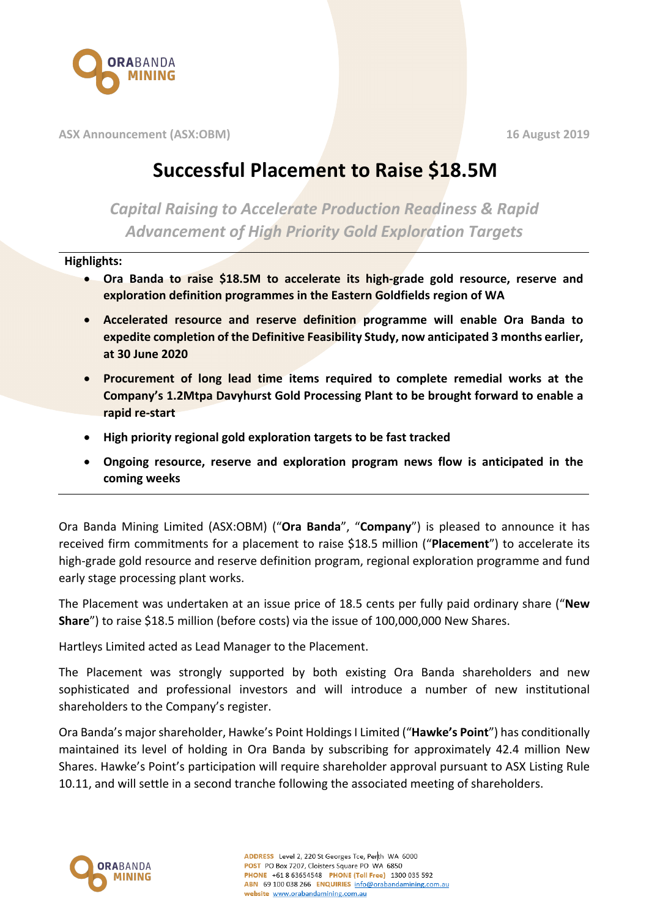

**ASX Announcement (ASX:OBM) 16 August 2019**

## **Successful Placement to Raise \$18.5M**

*Capital Raising to Accelerate Production Readiness & Rapid Advancement of High Priority Gold Exploration Targets*

## **Highlights:**

- **Ora Banda to raise \$18.5M to accelerate its high-grade gold resource, reserve and exploration definition programmes in the Eastern Goldfields region of WA**
- **Accelerated resource and reserve definition programme will enable Ora Banda to expedite completion of the Definitive Feasibility Study, now anticipated 3 months earlier, at 30 June 2020**
- **Procurement of long lead time items required to complete remedial works at the Company's 1.2Mtpa Davyhurst Gold Processing Plant to be brought forward to enable a rapid re-start**
- **High priority regional gold exploration targets to be fast tracked**
- **Ongoing resource, reserve and exploration program news flow is anticipated in the coming weeks**

Ora Banda Mining Limited (ASX:OBM) ("**Ora Banda**", "**Company**") is pleased to announce it has received firm commitments for a placement to raise \$18.5 million ("**Placement**") to accelerate its high-grade gold resource and reserve definition program, regional exploration programme and fund early stage processing plant works.

The Placement was undertaken at an issue price of 18.5 cents per fully paid ordinary share ("**New Share**") to raise \$18.5 million (before costs) via the issue of 100,000,000 New Shares.

Hartleys Limited acted as Lead Manager to the Placement.

The Placement was strongly supported by both existing Ora Banda shareholders and new sophisticated and professional investors and will introduce a number of new institutional shareholders to the Company's register.

Ora Banda's major shareholder, Hawke's Point Holdings I Limited ("**Hawke's Point**") has conditionally maintained its level of holding in Ora Banda by subscribing for approximately 42.4 million New Shares. Hawke's Point's participation will require shareholder approval pursuant to ASX Listing Rule 10.11, and will settle in a second tranche following the associated meeting of shareholders.